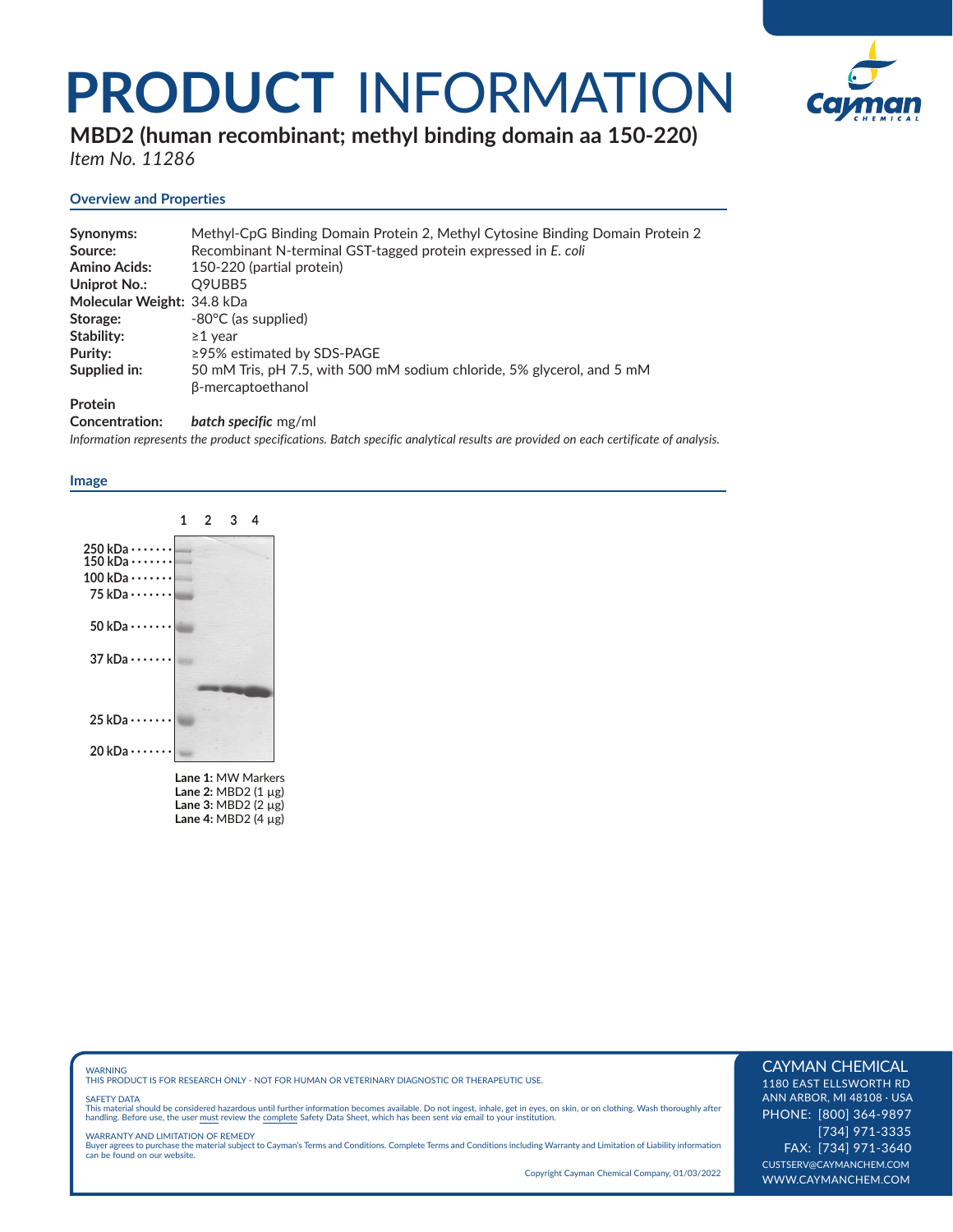## **PRODUCT** INFORMATION



**MBD2 (human recombinant; methyl binding domain aa 150-220)** 

*Item No. 11286*

### **Overview and Properties**

| Synonyms:                  | Methyl-CpG Binding Domain Protein 2, Methyl Cytosine Binding Domain Protein 2 |
|----------------------------|-------------------------------------------------------------------------------|
| Source:                    | Recombinant N-terminal GST-tagged protein expressed in E. coli                |
| <b>Amino Acids:</b>        | 150-220 (partial protein)                                                     |
| Uniprot No.:               | Q9UBB5                                                                        |
| Molecular Weight: 34.8 kDa |                                                                               |
| Storage:                   | -80°C (as supplied)                                                           |
| Stability:                 | $\geq$ 1 vear                                                                 |
| Purity:                    | $\geq$ 95% estimated by SDS-PAGE                                              |
| Supplied in:               | 50 mM Tris, pH 7.5, with 500 mM sodium chloride, 5% glycerol, and 5 mM        |
|                            | β-mercaptoethanol                                                             |
| <b>Protein</b>             |                                                                               |
|                            |                                                                               |

**Concentration:** *batch specific* mg/ml

*Information represents the product specifications. Batch specific analytical results are provided on each certificate of analysis.*

#### **Image**



WARNING THIS PRODUCT IS FOR RESEARCH ONLY - NOT FOR HUMAN OR VETERINARY DIAGNOSTIC OR THERAPEUTIC USE.

#### SAFETY DATA

This material should be considered hazardous until further information becomes available. Do not ingest, inhale, get in eyes, on skin, or on clothing. Wash thoroughly after<br>handling. Before use, the user must review the co

WARRANTY AND LIMITATION OF REMEDY Buyer agrees to purchase the material subject to Cayman's Terms and Conditions. Complete Terms and Conditions including Warranty and Limitation of Liability information can be found on our website.

Copyright Cayman Chemical Company, 01/03/2022

#### CAYMAN CHEMICAL

1180 EAST ELLSWORTH RD ANN ARBOR, MI 48108 · USA PHONE: [800] 364-9897 [734] 971-3335 FAX: [734] 971-3640 CUSTSERV@CAYMANCHEM.COM WWW.CAYMANCHEM.COM